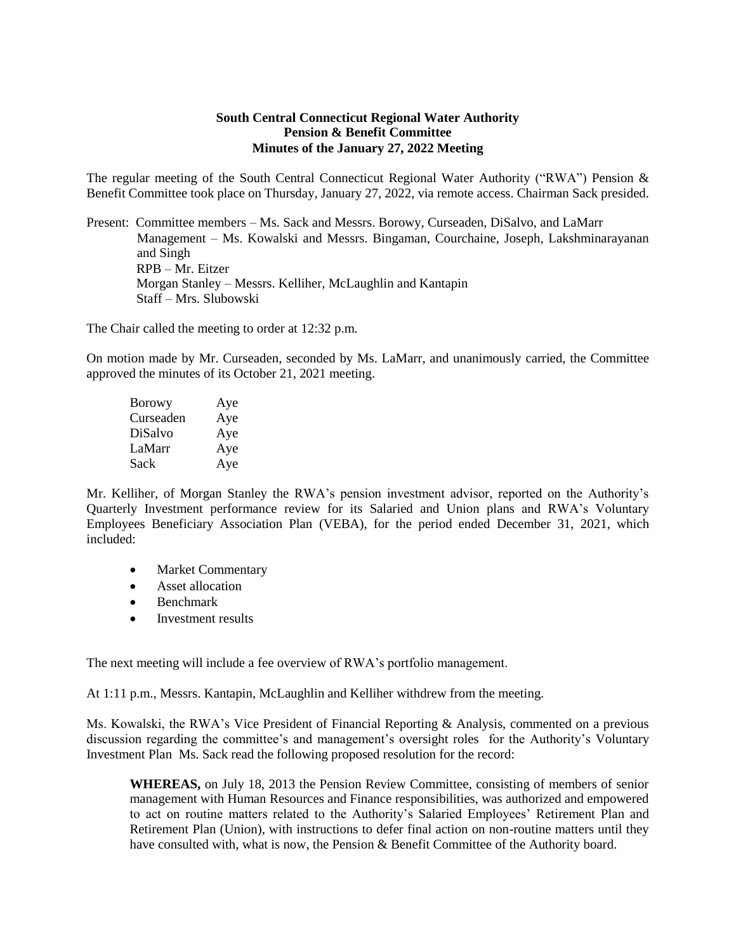## **South Central Connecticut Regional Water Authority Pension & Benefit Committee Minutes of the January 27, 2022 Meeting**

The regular meeting of the South Central Connecticut Regional Water Authority ("RWA") Pension & Benefit Committee took place on Thursday, January 27, 2022, via remote access. Chairman Sack presided.

Present: Committee members – Ms. Sack and Messrs. Borowy, Curseaden, DiSalvo, and LaMarr Management – Ms. Kowalski and Messrs. Bingaman, Courchaine, Joseph, Lakshminarayanan and Singh RPB – Mr. Eitzer Morgan Stanley – Messrs. Kelliher, McLaughlin and Kantapin Staff – Mrs. Slubowski

The Chair called the meeting to order at 12:32 p.m.

On motion made by Mr. Curseaden, seconded by Ms. LaMarr, and unanimously carried, the Committee approved the minutes of its October 21, 2021 meeting.

| <b>Borowy</b> | Aye |
|---------------|-----|
| Curseaden     | Aye |
| DiSalvo       | Aye |
| LaMarr        | Aye |
| Sack          | Aye |

Mr. Kelliher, of Morgan Stanley the RWA's pension investment advisor, reported on the Authority's Quarterly Investment performance review for its Salaried and Union plans and RWA's Voluntary Employees Beneficiary Association Plan (VEBA), for the period ended December 31, 2021, which included:

- Market Commentary
- Asset allocation
- Benchmark
- Investment results

The next meeting will include a fee overview of RWA's portfolio management.

At 1:11 p.m., Messrs. Kantapin, McLaughlin and Kelliher withdrew from the meeting.

Ms. Kowalski, the RWA's Vice President of Financial Reporting & Analysis, commented on a previous discussion regarding the committee's and management's oversight roles for the Authority's Voluntary Investment Plan Ms. Sack read the following proposed resolution for the record:

**WHEREAS,** on July 18, 2013 the Pension Review Committee, consisting of members of senior management with Human Resources and Finance responsibilities, was authorized and empowered to act on routine matters related to the Authority's Salaried Employees' Retirement Plan and Retirement Plan (Union), with instructions to defer final action on non-routine matters until they have consulted with, what is now, the Pension & Benefit Committee of the Authority board.